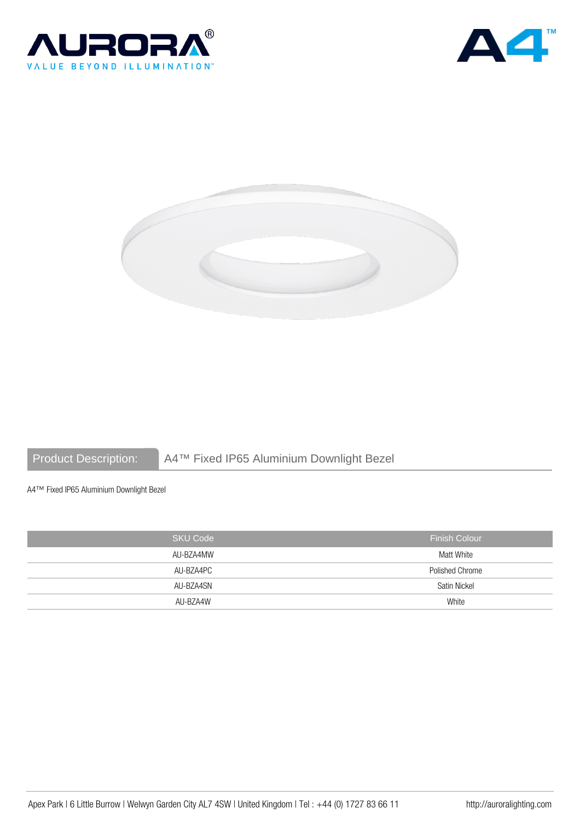





# Product Description: A4™ Fixed IP65 Aluminium Downlight Bezel

A4™ Fixed IP65 Aluminium Downlight Bezel

| <b>SKU Code</b> | <b>Finish Colour</b> |
|-----------------|----------------------|
| AU-BZA4MW       | Matt White           |
| AU-BZA4PC       | Polished Chrome      |
| AU-BZA4SN       | Satin Nickel         |
| AU-BZA4W        | White                |